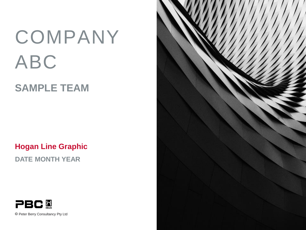# COMPANY ABC

# **SAMPLE TEAM**

**Hogan Line Graphic**

**DATE MONTH YEAR**



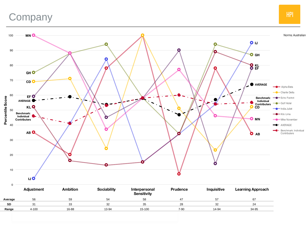## **Company**



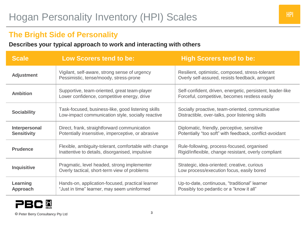## **The Bright Side of Personality**

#### **Describes your typical approach to work and interacting with others**

| <b>Scale</b>                        | <b>Low Scorers tend to be:</b>                                                                           | <b>High Scorers tend to be:</b>                                                                              |
|-------------------------------------|----------------------------------------------------------------------------------------------------------|--------------------------------------------------------------------------------------------------------------|
| <b>Adjustment</b>                   | Vigilant, self-aware, strong sense of urgency<br>Pessimistic, tense/moody, stress-prone                  | Resilient, optimistic, composed, stress-tolerant<br>Overly self-assured, resists feedback, arrogant          |
| <b>Ambition</b>                     | Supportive, team-oriented, great team-player<br>Lower confidence, competitive energy, drive              | Self-confident, driven, energetic, persistent, leader-like<br>Forceful, competitive, becomes restless easily |
| <b>Sociability</b>                  | Task-focused, business-like, good listening skills<br>Low-impact communication style, socially reactive  | Socially proactive, team-oriented, communicative<br>Distractible, over-talks, poor listening skills          |
| Interpersonal<br><b>Sensitivity</b> | Direct, frank, straightforward communication<br>Potentially insensitive, imperceptive, or abrasive       | Diplomatic, friendly, perceptive, sensitive<br>Potentially "too soft" with feedback, conflict-avoidant       |
| <b>Prudence</b>                     | Flexible, ambiguity-tolerant, comfortable with change<br>Inattentive to details, disorganised, impulsive | Rule-following, process-focused, organised<br>Rigid/inflexible, change resistant, overly compliant           |
| <b>Inquisitive</b>                  | Pragmatic, level headed, strong implementer<br>Overly tactical, short-term view of problems              | Strategic, idea-oriented; creative, curious<br>Low process/execution focus, easily bored                     |
| Learning<br>Approach                | Hands-on, application-focused, practical learner<br>"Just in time" learner, may seem uninformed          | Up-to-date, continuous, "traditional" learner<br>Possibly too pedantic or a "know it all"                    |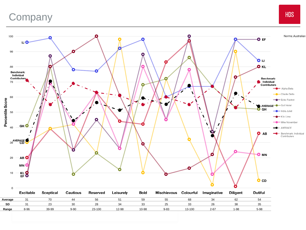# **Company**

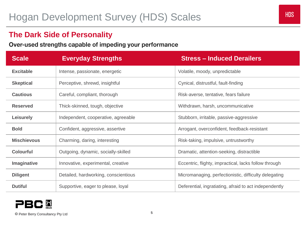### **The Dark Side of Personality**

Over-used strengths capable of impeding your performance

| <b>Scale</b>       | <b>Everyday Strengths</b>            | <b>Stress - Induced Derailers</b>                      |
|--------------------|--------------------------------------|--------------------------------------------------------|
| <b>Excitable</b>   | Intense, passionate, energetic       | Volatile, moody, unpredictable                         |
| <b>Skeptical</b>   | Perceptive, shrewd, insightful       | Cynical, distrustful, fault-finding                    |
| <b>Cautious</b>    | Careful, compliant, thorough         | Risk-averse, tentative, fears failure                  |
| <b>Reserved</b>    | Thick-skinned, tough, objective      | Withdrawn, harsh, uncommunicative                      |
| <b>Leisurely</b>   | Independent, cooperative, agreeable  | Stubborn, irritable, passive-aggressive                |
| <b>Bold</b>        | Confident, aggressive, assertive     | Arrogant, overconfident, feedback-resistant            |
| <b>Mischievous</b> | Charming, daring, interesting        | Risk-taking, impulsive, untrustworthy                  |
| <b>Colourful</b>   | Outgoing, dynamic, socially-skilled  | Dramatic, attention-seeking, distractible              |
| Imaginative        | Innovative, experimental, creative   | Eccentric, flighty, impractical, lacks follow through  |
| <b>Diligent</b>    | Detailed, hardworking, conscientious | Micromanaging, perfectionistic, difficulty delegating  |
| <b>Dutiful</b>     | Supportive, eager to please, loyal   | Deferential, ingratiating, afraid to act independently |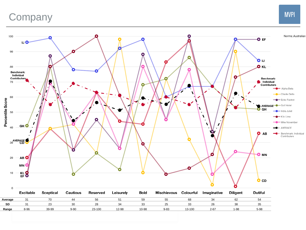# **Company**

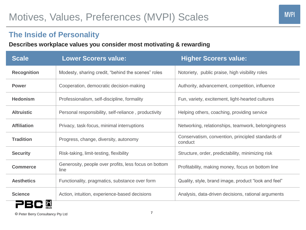## **The Inside of Personality**

#### **Describes workplace values you consider most motivating & rewarding**

| <b>Scale</b>       | <b>Lower Scorers value:</b>                                   | <b>Higher Scorers value:</b>                                 |
|--------------------|---------------------------------------------------------------|--------------------------------------------------------------|
| <b>Recognition</b> | Modesty, sharing credit, "behind the scenes" roles            | Notoriety, public praise, high visibility roles              |
| <b>Power</b>       | Cooperation, democratic decision-making                       | Authority, advancement, competition, influence               |
| <b>Hedonism</b>    | Professionalism, self-discipline, formality                   | Fun, variety, excitement, light-hearted cultures             |
| <b>Altruistic</b>  | Personal responsibility, self-reliance, productivity          | Helping others, coaching, providing service                  |
| <b>Affiliation</b> | Privacy, task-focus, minimal interruptions                    | Networking, relationships, teamwork, belongingness           |
| <b>Tradition</b>   | Progress, change, diversity, autonomy                         | Conservatism, convention, principled standards of<br>conduct |
| <b>Security</b>    | Risk-taking, limit-testing, flexibility                       | Structure, order, predictability, minimizing risk            |
| <b>Commerce</b>    | Generosity, people over profits, less focus on bottom<br>line | Profitability, making money, focus on bottom line            |
| <b>Aesthetics</b>  | Functionality, pragmatics, substance over form                | Quality, style, brand image, product "look and feel"         |
| <b>Science</b>     | Action, intuition, experience-based decisions                 | Analysis, data-driven decisions, rational arguments          |
|                    |                                                               |                                                              |